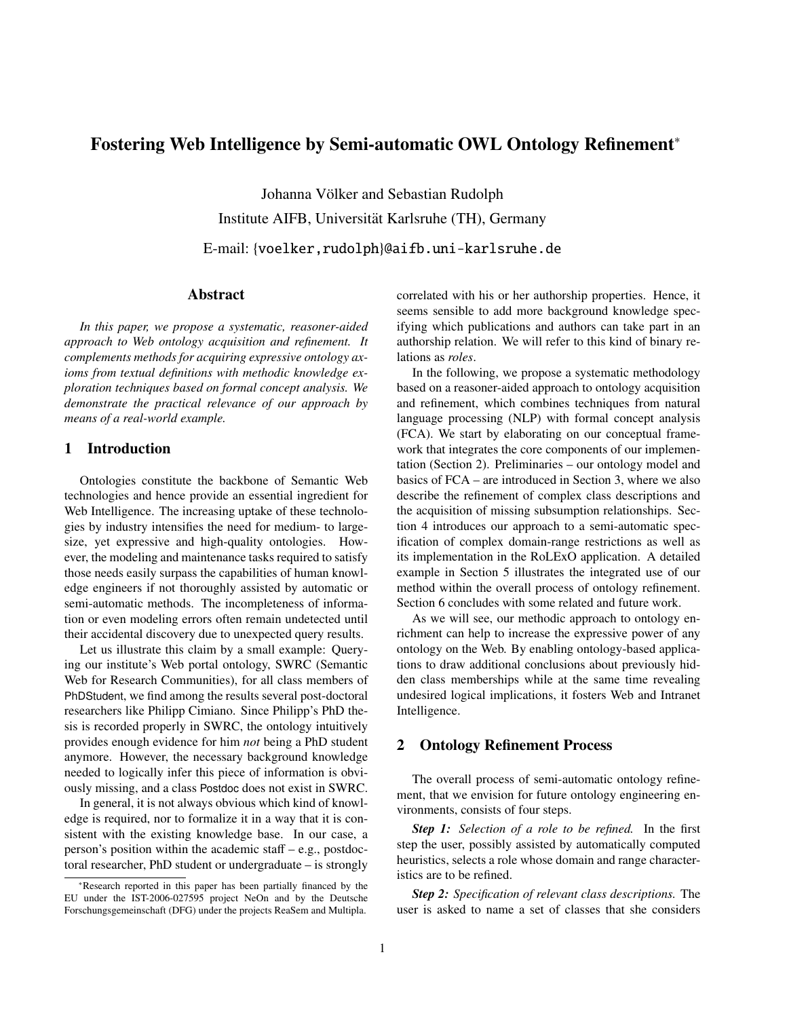# Fostering Web Intelligence by Semi-automatic OWL Ontology Refinement<sup>∗</sup>

Johanna Völker and Sebastian Rudolph Institute AIFB, Universität Karlsruhe (TH), Germany E-mail: {voelker,rudolph}@aifb.uni-karlsruhe.de

Abstract

*In this paper, we propose a systematic, reasoner-aided approach to Web ontology acquisition and refinement. It complements methods for acquiring expressive ontology axioms from textual definitions with methodic knowledge exploration techniques based on formal concept analysis. We demonstrate the practical relevance of our approach by means of a real-world example.*

# 1 Introduction

Ontologies constitute the backbone of Semantic Web technologies and hence provide an essential ingredient for Web Intelligence. The increasing uptake of these technologies by industry intensifies the need for medium- to largesize, yet expressive and high-quality ontologies. However, the modeling and maintenance tasks required to satisfy those needs easily surpass the capabilities of human knowledge engineers if not thoroughly assisted by automatic or semi-automatic methods. The incompleteness of information or even modeling errors often remain undetected until their accidental discovery due to unexpected query results.

Let us illustrate this claim by a small example: Querying our institute's Web portal ontology, SWRC (Semantic Web for Research Communities), for all class members of PhDStudent, we find among the results several post-doctoral researchers like Philipp Cimiano. Since Philipp's PhD thesis is recorded properly in SWRC, the ontology intuitively provides enough evidence for him *not* being a PhD student anymore. However, the necessary background knowledge needed to logically infer this piece of information is obviously missing, and a class Postdoc does not exist in SWRC.

In general, it is not always obvious which kind of knowledge is required, nor to formalize it in a way that it is consistent with the existing knowledge base. In our case, a person's position within the academic staff – e.g., postdoctoral researcher, PhD student or undergraduate – is strongly

correlated with his or her authorship properties. Hence, it seems sensible to add more background knowledge specifying which publications and authors can take part in an authorship relation. We will refer to this kind of binary relations as *roles*.

In the following, we propose a systematic methodology based on a reasoner-aided approach to ontology acquisition and refinement, which combines techniques from natural language processing (NLP) with formal concept analysis (FCA). We start by elaborating on our conceptual framework that integrates the core components of our implementation (Section 2). Preliminaries – our ontology model and basics of FCA – are introduced in Section 3, where we also describe the refinement of complex class descriptions and the acquisition of missing subsumption relationships. Section 4 introduces our approach to a semi-automatic specification of complex domain-range restrictions as well as its implementation in the RoLExO application. A detailed example in Section 5 illustrates the integrated use of our method within the overall process of ontology refinement. Section 6 concludes with some related and future work.

As we will see, our methodic approach to ontology enrichment can help to increase the expressive power of any ontology on the Web. By enabling ontology-based applications to draw additional conclusions about previously hidden class memberships while at the same time revealing undesired logical implications, it fosters Web and Intranet Intelligence.

#### 2 Ontology Refinement Process

The overall process of semi-automatic ontology refinement, that we envision for future ontology engineering environments, consists of four steps.

*Step 1: Selection of a role to be refined.* In the first step the user, possibly assisted by automatically computed heuristics, selects a role whose domain and range characteristics are to be refined.

*Step 2: Specification of relevant class descriptions.* The user is asked to name a set of classes that she considers

<sup>∗</sup>Research reported in this paper has been partially financed by the EU under the IST-2006-027595 project NeOn and by the Deutsche Forschungsgemeinschaft (DFG) under the projects ReaSem and Multipla.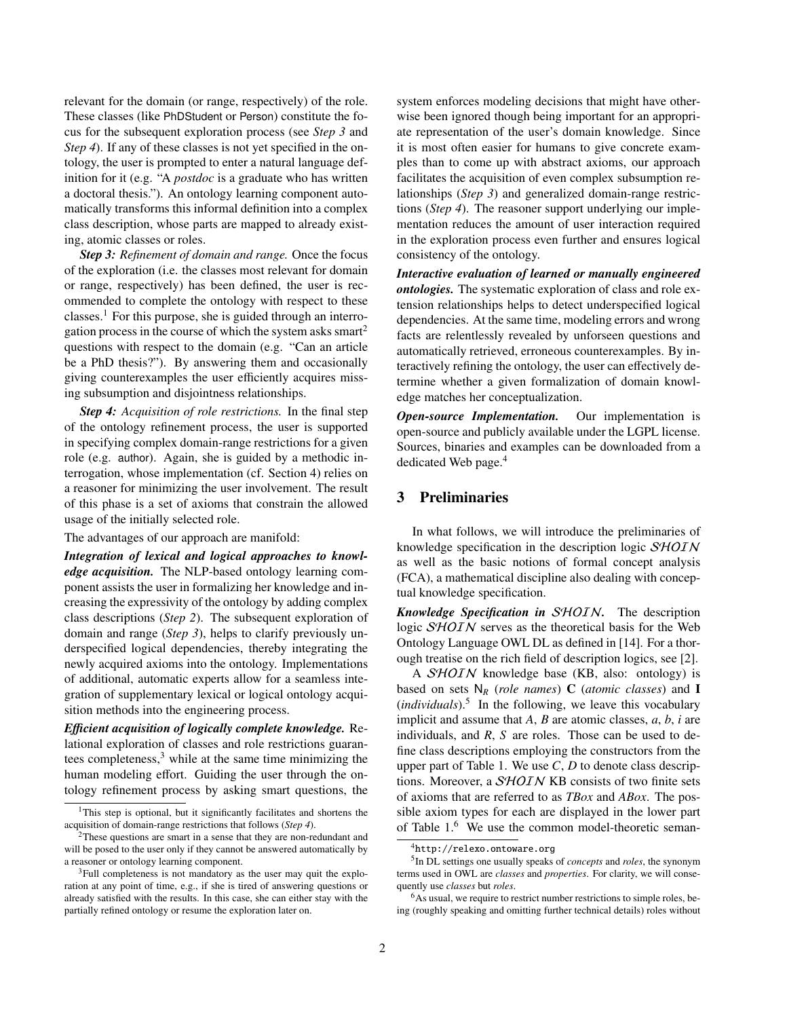relevant for the domain (or range, respectively) of the role. These classes (like PhDStudent or Person) constitute the focus for the subsequent exploration process (see *Step 3* and *Step 4*). If any of these classes is not yet specified in the ontology, the user is prompted to enter a natural language definition for it (e.g. "A *postdoc* is a graduate who has written a doctoral thesis."). An ontology learning component automatically transforms this informal definition into a complex class description, whose parts are mapped to already existing, atomic classes or roles.

*Step 3: Refinement of domain and range.* Once the focus of the exploration (i.e. the classes most relevant for domain or range, respectively) has been defined, the user is recommended to complete the ontology with respect to these classes.<sup>1</sup> For this purpose, she is guided through an interrogation process in the course of which the system asks smart<sup>2</sup> questions with respect to the domain (e.g. "Can an article be a PhD thesis?"). By answering them and occasionally giving counterexamples the user efficiently acquires missing subsumption and disjointness relationships.

*Step 4: Acquisition of role restrictions.* In the final step of the ontology refinement process, the user is supported in specifying complex domain-range restrictions for a given role (e.g. author). Again, she is guided by a methodic interrogation, whose implementation (cf. Section 4) relies on a reasoner for minimizing the user involvement. The result of this phase is a set of axioms that constrain the allowed usage of the initially selected role.

The advantages of our approach are manifold:

*Integration of lexical and logical approaches to knowledge acquisition.* The NLP-based ontology learning component assists the user in formalizing her knowledge and increasing the expressivity of the ontology by adding complex class descriptions (*Step 2*). The subsequent exploration of domain and range (*Step 3*), helps to clarify previously underspecified logical dependencies, thereby integrating the newly acquired axioms into the ontology. Implementations of additional, automatic experts allow for a seamless integration of supplementary lexical or logical ontology acquisition methods into the engineering process.

*E*ffi*cient acquisition of logically complete knowledge.* Relational exploration of classes and role restrictions guarantees completeness, $3$  while at the same time minimizing the human modeling effort. Guiding the user through the ontology refinement process by asking smart questions, the system enforces modeling decisions that might have otherwise been ignored though being important for an appropriate representation of the user's domain knowledge. Since it is most often easier for humans to give concrete examples than to come up with abstract axioms, our approach facilitates the acquisition of even complex subsumption relationships (*Step 3*) and generalized domain-range restrictions (*Step 4*). The reasoner support underlying our implementation reduces the amount of user interaction required in the exploration process even further and ensures logical consistency of the ontology.

*Interactive evaluation of learned or manually engineered ontologies.* The systematic exploration of class and role extension relationships helps to detect underspecified logical dependencies. At the same time, modeling errors and wrong facts are relentlessly revealed by unforseen questions and automatically retrieved, erroneous counterexamples. By interactively refining the ontology, the user can effectively determine whether a given formalization of domain knowledge matches her conceptualization.

*Open-source Implementation.* Our implementation is open-source and publicly available under the LGPL license. Sources, binaries and examples can be downloaded from a dedicated Web page.<sup>4</sup>

#### 3 Preliminaries

In what follows, we will introduce the preliminaries of knowledge specification in the description logic SHOIN as well as the basic notions of formal concept analysis (FCA), a mathematical discipline also dealing with conceptual knowledge specification.

*Knowledge Specification in* SHOIN*.* The description logic *SHOIN* serves as the theoretical basis for the Web Ontology Language OWL DL as defined in [14]. For a thorough treatise on the rich field of description logics, see [2].

A SHOIN knowledge base (KB, also: ontology) is based on sets  $N_R$  (*role names*) C (*atomic classes*) and **I** (*individuals*).<sup>5</sup> In the following, we leave this vocabulary implicit and assume that *A*, *B* are atomic classes, *a*, *b*, *i* are individuals, and *R*, *S* are roles. Those can be used to define class descriptions employing the constructors from the upper part of Table 1. We use *C*, *D* to denote class descriptions. Moreover, a SHOIN KB consists of two finite sets of axioms that are referred to as *TBox* and *ABox*. The possible axiom types for each are displayed in the lower part of Table 1.<sup>6</sup> We use the common model-theoretic seman-

<sup>&</sup>lt;sup>1</sup>This step is optional, but it significantly facilitates and shortens the acquisition of domain-range restrictions that follows (*Step 4*).

<sup>&</sup>lt;sup>2</sup>These questions are smart in a sense that they are non-redundant and will be posed to the user only if they cannot be answered automatically by a reasoner or ontology learning component.

<sup>&</sup>lt;sup>3</sup>Full completeness is not mandatory as the user may quit the exploration at any point of time, e.g., if she is tired of answering questions or already satisfied with the results. In this case, she can either stay with the partially refined ontology or resume the exploration later on.

 ${}^{4}$ http://relexo.ontoware.org

<sup>5</sup> In DL settings one usually speaks of *concepts* and *roles*, the synonym terms used in OWL are *classes* and *properties*. For clarity, we will consequently use *classes* but *roles*.

<sup>&</sup>lt;sup>6</sup>As usual, we require to restrict number restrictions to simple roles, being (roughly speaking and omitting further technical details) roles without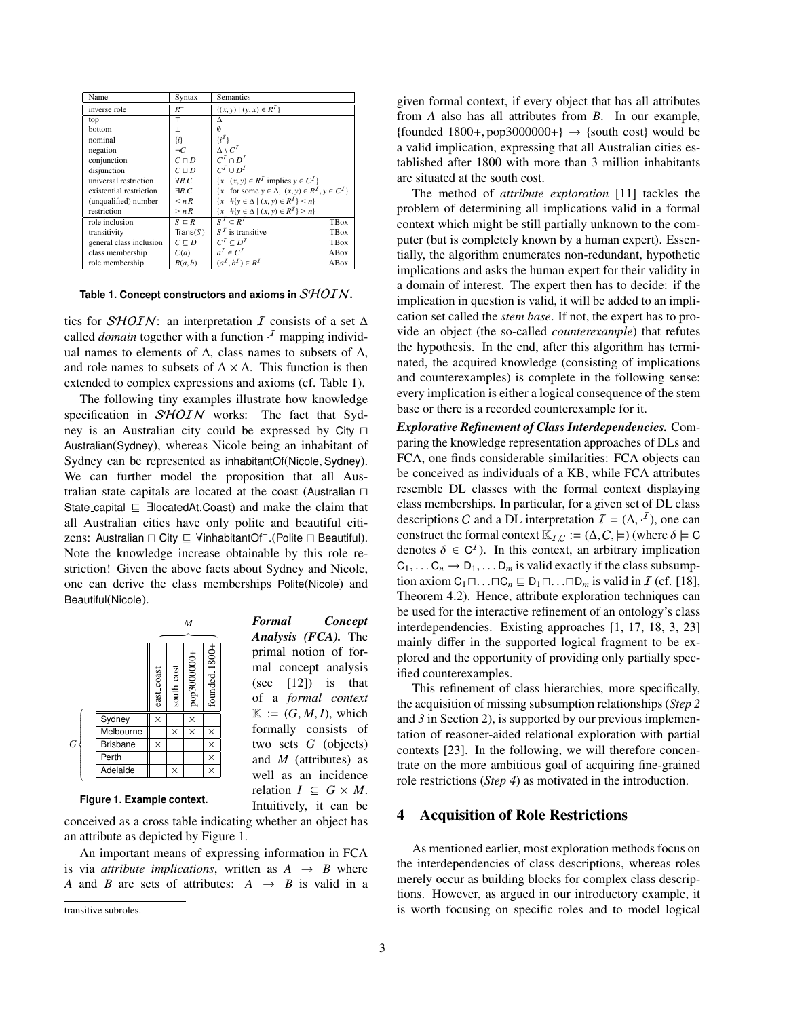| Name                    | Syntax          | Semantics                                                                       |             |
|-------------------------|-----------------|---------------------------------------------------------------------------------|-------------|
| inverse role            | $R^-$           | $\{(x, y)   (y, x) \in R^T\}$                                                   |             |
| top                     | T               | л                                                                               |             |
| bottom                  |                 | Ø                                                                               |             |
| nominal                 | $\{i\}$         | $\{i^I\}$                                                                       |             |
| negation                | $\neg C$        | $\Delta \setminus C^I$                                                          |             |
| conjunction             | $C \sqcap D$    | $C^I \cap D^I$                                                                  |             |
| disjunction             | $C \sqcup D$    | $C^I \cup D^I$                                                                  |             |
| universal restriction   | <b>VR.C</b>     | $\{x \mid (x, y) \in R^{\mathcal{I}} \text{ implies } y \in C^{\mathcal{I}}\}\$ |             |
| existential restriction | $\exists R.C$   | $\{x \mid \text{for some } y \in \Delta, (x, y) \in R^I, y \in C^I\}$           |             |
| (unqualified) number    | $\leq nR$       | $\{x \mid \# \{y \in \Delta \mid (x, y) \in R^{\mathcal{I}}\} \leq n\}$         |             |
| restriction             | > nR            | $\{x \mid \# \{y \in \Delta \mid (x, y) \in R^{\mathcal{I}}\} \geq n\}$         |             |
| role inclusion          | $S \subseteq R$ | $S^I \subset R^I$                                                               | <b>TBox</b> |
| transitivity            | Trans(S)        | $ST$ is transitive                                                              | <b>TBox</b> |
| general class inclusion | $C \subseteq D$ | $C^I \subset D^I$                                                               | <b>TBox</b> |
| class membership        | C(a)            | $a^I \in C^I$                                                                   | ABox        |
| role membership         | R(a, b)         | $(a^I, b^I) \in R^I$                                                            | ABox        |

#### **Table 1. Concept constructors and axioms in** SHOIN**.**

tics for SHOIN: an interpretation I consists of a set  $\Delta$ called *domain* together with a function  $\cdot^I$  mapping individual names to elements of  $\Delta$ , class names to subsets of  $\Delta$ , and role names to subsets of  $\Delta \times \Delta$ . This function is then extended to complex expressions and axioms (cf. Table 1).

The following tiny examples illustrate how knowledge specification in SHOIN works: The fact that Sydney is an Australian city could be expressed by City  $\Box$ Australian(Sydney), whereas Nicole being an inhabitant of Sydney can be represented as inhabitantOf(Nicole, Sydney). We can further model the proposition that all Australian state capitals are located at the coast (Australian  $\Box$ State capital  $\sqsubseteq$  ∃locatedAt.Coast) and make the claim that all Australian cities have only polite and beautiful citizens: Australian  $\Box$  City  $\sqsubseteq$  YinhabitantOf<sup>−</sup>.(Polite  $\Box$  Beautiful).<br>Note the knowledge increase obtainable by this role re-Note the knowledge increase obtainable by this role restriction! Given the above facts about Sydney and Nicole, one can derive the class memberships Polite(Nicole) and Beautiful(Nicole).



*Formal Concept Analysis (FCA).* The primal notion of formal concept analysis (see [12]) is that of a *formal context*  $\mathbb{K} := (G, M, I)$ , which formally consists of two sets *G* (objects) and *M* (attributes) as well as an incidence relation  $I \subseteq G \times M$ . Intuitively, it can be

#### **Figure 1. Example context.**

conceived as a cross table indicating whether an object has an attribute as depicted by Figure 1.

An important means of expressing information in FCA is via *attribute implications*, written as  $A \rightarrow B$  where *A* and *B* are sets of attributes:  $A \rightarrow B$  is valid in a given formal context, if every object that has all attributes from *A* also has all attributes from *B*. In our example,  ${\text{founded}}_1800+, \text{pop3000000+} \rightarrow {\text{south}.\text{cost}}$  would be a valid implication, expressing that all Australian cities established after 1800 with more than 3 million inhabitants are situated at the south cost.

The method of *attribute exploration* [11] tackles the problem of determining all implications valid in a formal context which might be still partially unknown to the computer (but is completely known by a human expert). Essentially, the algorithm enumerates non-redundant, hypothetic implications and asks the human expert for their validity in a domain of interest. The expert then has to decide: if the implication in question is valid, it will be added to an implication set called the *stem base*. If not, the expert has to provide an object (the so-called *counterexample*) that refutes the hypothesis. In the end, after this algorithm has terminated, the acquired knowledge (consisting of implications and counterexamples) is complete in the following sense: every implication is either a logical consequence of the stem base or there is a recorded counterexample for it.

*Explorative Refinement of Class Interdependencies.* Comparing the knowledge representation approaches of DLs and FCA, one finds considerable similarities: FCA objects can be conceived as individuals of a KB, while FCA attributes resemble DL classes with the formal context displaying class memberships. In particular, for a given set of DL class descriptions C and a DL interpretation  $I = (\Delta, \cdot^I)$ , one can<br>construct the formal context  $\mathbb{K}_{\tau, \Omega} := (\Delta, C \models)$  (where  $\delta \models C$ construct the formal context  $\mathbb{K}_{I,C} := (\Delta, C, \models)$  (where  $\delta \models C$ denotes  $\delta \in C^{\mathcal{I}}$ ). In this context, an arbitrary implication<br>C. C.  $\rightarrow$  D. D. is valid exactly if the class subsump- $C_1, \ldots, C_n \to D_1, \ldots, D_m$  is valid exactly if the class subsumption axiom  $C_1 \sqcap \ldots \sqcap C_n \sqsubseteq D_1 \sqcap \ldots \sqcap D_m$  is valid in *I* (cf. [18], Theorem 4.2). Hence, attribute exploration techniques can be used for the interactive refinement of an ontology's class interdependencies. Existing approaches [1, 17, 18, 3, 23] mainly differ in the supported logical fragment to be explored and the opportunity of providing only partially specified counterexamples.

This refinement of class hierarchies, more specifically, the acquisition of missing subsumption relationships (*Step 2* and *3* in Section 2), is supported by our previous implementation of reasoner-aided relational exploration with partial contexts [23]. In the following, we will therefore concentrate on the more ambitious goal of acquiring fine-grained role restrictions (*Step 4*) as motivated in the introduction.

#### 4 Acquisition of Role Restrictions

As mentioned earlier, most exploration methods focus on the interdependencies of class descriptions, whereas roles merely occur as building blocks for complex class descriptions. However, as argued in our introductory example, it is worth focusing on specific roles and to model logical

transitive subroles.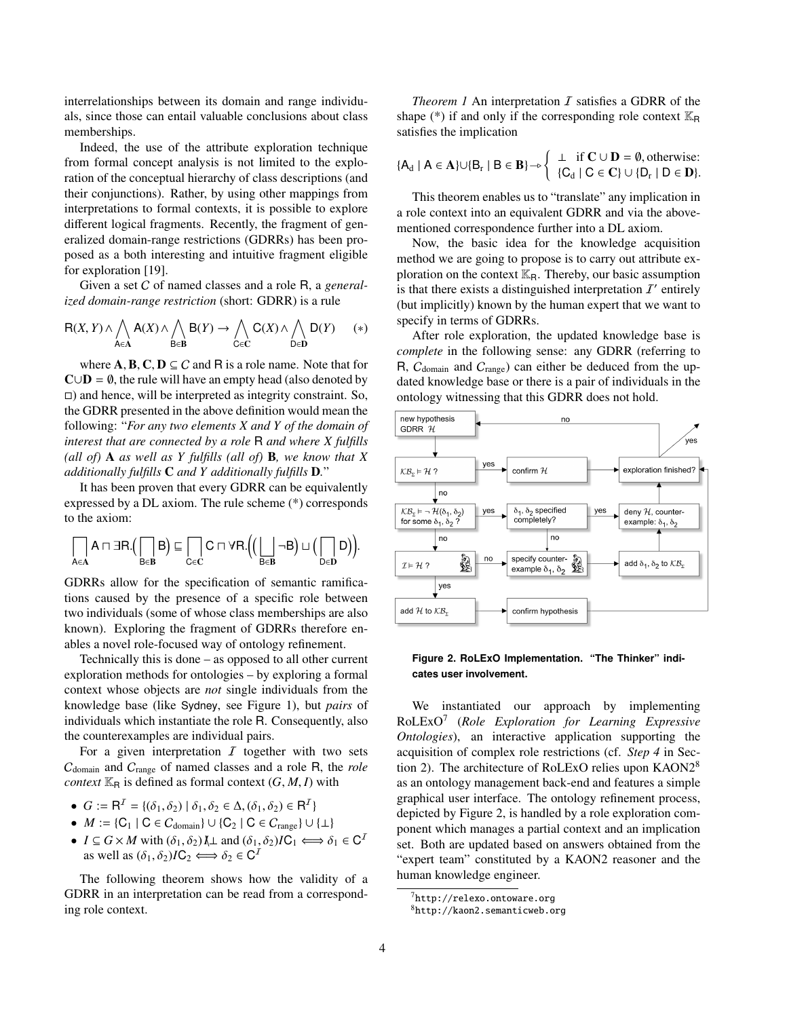interrelationships between its domain and range individuals, since those can entail valuable conclusions about class memberships.

Indeed, the use of the attribute exploration technique from formal concept analysis is not limited to the exploration of the conceptual hierarchy of class descriptions (and their conjunctions). Rather, by using other mappings from interpretations to formal contexts, it is possible to explore different logical fragments. Recently, the fragment of generalized domain-range restrictions (GDRRs) has been proposed as a both interesting and intuitive fragment eligible for exploration [19].

Given a set C of named classes and a role R, a *generalized domain-range restriction* (short: GDRR) is a rule

$$
\mathsf{R}(X,Y) \land \bigwedge_{A \in \mathbf{A}} \mathsf{A}(X) \land \bigwedge_{B \in \mathbf{B}} \mathsf{B}(Y) \to \bigwedge_{C \in \mathbf{C}} \mathsf{C}(X) \land \bigwedge_{D \in \mathbf{D}} \mathsf{D}(Y) \qquad (*)
$$

where  $\mathbf{A}, \mathbf{B}, \mathbf{C}, \mathbf{D} \subseteq \mathcal{C}$  and  $\mathbf{R}$  is a role name. Note that for  $C \cup D = \emptyset$ , the rule will have an empty head (also denoted by ) and hence, will be interpreted as integrity constraint. So, the GDRR presented in the above definition would mean the following: "*For any two elements X and Y of the domain of interest that are connected by a role* R *and where X fulfills (all of)* A *as well as Y fulfills (all of)* B*, we know that X additionally fulfills* C *and Y additionally fulfills* D*.*"

It has been proven that every GDRR can be equivalently expressed by a DL axiom. The rule scheme (\*) corresponds to the axiom:

$$
\bigcap_{A\in\mathbf{A}}A\sqcap \exists R.\Big(\bigcap_{B\in\mathbf{B}}B\Big)\sqsubseteq \bigcap_{C\in\mathbf{C}}C\sqcap\forall R.\Big(\Big(\bigsqcup_{B\in\mathbf{B}}\neg B\Big)\sqcup\Big(\bigcap_{D\in\mathbf{D}}D\Big)\Big).
$$

GDRRs allow for the specification of semantic ramifications caused by the presence of a specific role between two individuals (some of whose class memberships are also known). Exploring the fragment of GDRRs therefore enables a novel role-focused way of ontology refinement.

Technically this is done – as opposed to all other current exploration methods for ontologies – by exploring a formal context whose objects are *not* single individuals from the knowledge base (like Sydney, see Figure 1), but *pairs* of individuals which instantiate the role R. Consequently, also the counterexamples are individual pairs.

For a given interpretation  $I$  together with two sets  $C_{domain}$  and  $C_{range}$  of named classes and a role R, the *role context*  $\mathbb{K}_{\mathsf{R}}$  is defined as formal context  $(G, M, I)$  with

- $G := \mathsf{R}^T = \{(\delta_1, \delta_2) \mid \delta_1, \delta_2 \in \Delta, (\delta_1, \delta_2) \in \mathsf{R}^T\}$
- $M := \{C_1 \mid C \in C_{domain}\} \cup \{C_2 \mid C \in C_{range}\} \cup \{\perp\}$
- $I \subseteq G \times M$  with  $(\delta_1, \delta_2) \downarrow \perp$  and  $(\delta_1, \delta_2) I C_1 \Longleftrightarrow \delta_1 \in C^T$ <br>as well as  $(\delta_1, \delta_2) C_2 \longrightarrow \delta_2 \in C^T$ as well as  $(\delta_1, \delta_2)$ *I*C<sub>2</sub>  $\Longleftrightarrow$   $\delta_2 \in \mathbb{C}^{\mathcal{I}}$

The following theorem shows how the validity of a GDRR in an interpretation can be read from a corresponding role context.

*Theorem 1* An interpretation  $I$  satisfies a GDRR of the shape (\*) if and only if the corresponding role context  $\mathbb{K}_{\mathsf{R}}$ satisfies the implication

$$
\{A_d \mid A \in \mathbf{A}\} \cup \{B_r \mid B \in \mathbf{B}\} \rightarrow \left\{ \begin{array}{l} \perp \text{ if } \mathbf{C} \cup \mathbf{D} = \emptyset, \text{ otherwise:} \\ \{C_d \mid C \in \mathbf{C}\} \cup \{D_r \mid D \in \mathbf{D}\}.\end{array} \right.
$$

This theorem enables us to "translate" any implication in a role context into an equivalent GDRR and via the abovementioned correspondence further into a DL axiom.

Now, the basic idea for the knowledge acquisition method we are going to propose is to carry out attribute exploration on the context  $\mathbb{K}_{\mathsf{R}}$ . Thereby, our basic assumption is that there exists a distinguished interpretation  $I'$  entirely (but implicitly) known by the human expert that we want to specify in terms of GDRRs.

After role exploration, the updated knowledge base is *complete* in the following sense: any GDRR (referring to R,  $C_{domain}$  and  $C_{range}$ ) can either be deduced from the updated knowledge base or there is a pair of individuals in the ontology witnessing that this GDRR does not hold.



#### **Figure 2. RoLExO Implementation. "The Thinker" indicates user involvement.**

We instantiated our approach by implementing RoLExO<sup>7</sup> (*Role Exploration for Learning Expressive Ontologies*), an interactive application supporting the acquisition of complex role restrictions (cf. *Step 4* in Section 2). The architecture of RoLExO relies upon KAON2<sup>8</sup> as an ontology management back-end and features a simple graphical user interface. The ontology refinement process, depicted by Figure 2, is handled by a role exploration component which manages a partial context and an implication set. Both are updated based on answers obtained from the "expert team" constituted by a KAON2 reasoner and the human knowledge engineer.

 $^{7}$ http://relexo.ontoware.org

<sup>8</sup>http://kaon2.semanticweb.org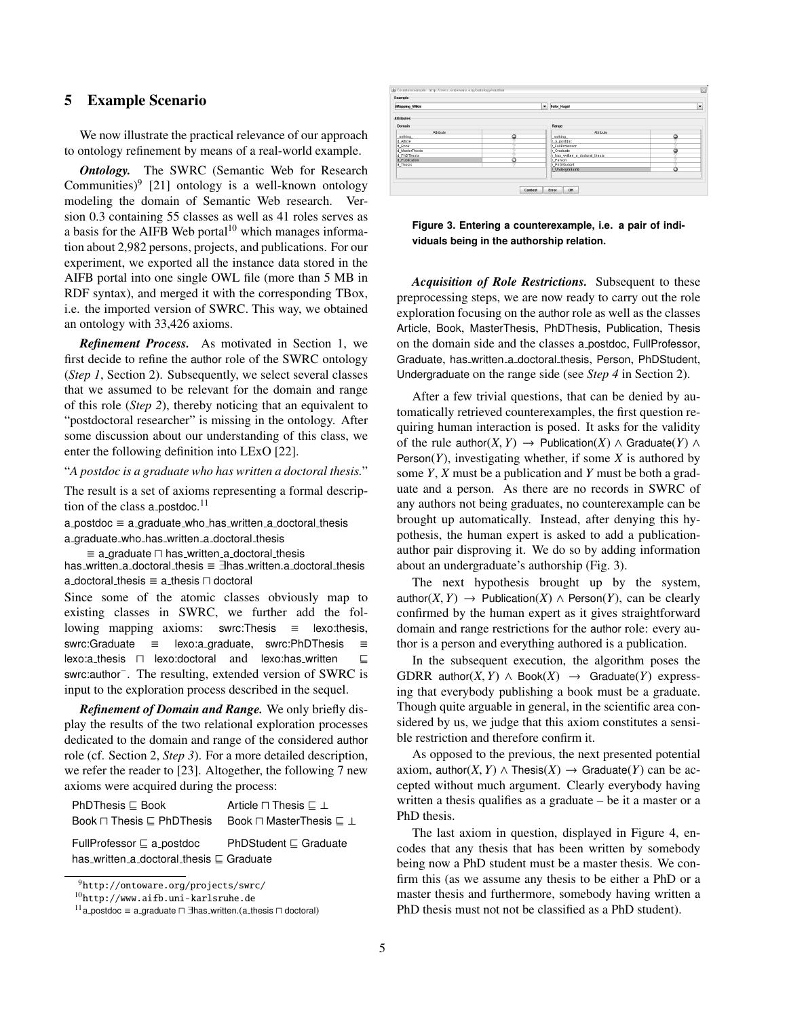#### 5 Example Scenario

We now illustrate the practical relevance of our approach to ontology refinement by means of a real-world example.

*Ontology.* The SWRC (Semantic Web for Research Communities) $9 \t[21]$  ontology is a well-known ontology modeling the domain of Semantic Web research. Version 0.3 containing 55 classes as well as 41 roles serves as a basis for the AIFB Web portal $10$  which manages information about 2,982 persons, projects, and publications. For our experiment, we exported all the instance data stored in the AIFB portal into one single OWL file (more than 5 MB in RDF syntax), and merged it with the corresponding TBox, i.e. the imported version of SWRC. This way, we obtained an ontology with 33,426 axioms.

*Refinement Process.* As motivated in Section 1, we first decide to refine the author role of the SWRC ontology (*Step 1*, Section 2). Subsequently, we select several classes that we assumed to be relevant for the domain and range of this role (*Step 2*), thereby noticing that an equivalent to "postdoctoral researcher" is missing in the ontology. After some discussion about our understanding of this class, we enter the following definition into LExO [22].

"*A postdoc is a graduate who has written a doctoral thesis.*"

The result is a set of axioms representing a formal description of the class a postdoc.<sup>11</sup>

 $a$  postdoc  $\equiv a$  graduate who has written  $a$  doctoral thesis a graduate who has written a doctoral thesis

≡ a graduate  $\Box$  has written a doctoral thesis has written a doctoral thesis ≡ ∃has written a doctoral thesis a doctoral thesis  $\equiv$  a thesis  $\sqcap$  doctoral

Since some of the atomic classes obviously map to existing classes in SWRC, we further add the following mapping axioms: swrc:Thesis ≡ lexo:thesis, swrc:Graduate ≡ lexo:a graduate, swrc:PhDThesis ≡ lexo:a\_thesis  $\Box$  lexo:doctoral and lexo:has\_written  $\square$ swrc:author<sup>−</sup> . The resulting, extended version of SWRC is input to the exploration process described in the sequel.

*Refinement of Domain and Range.* We only briefly display the results of the two relational exploration processes dedicated to the domain and range of the considered author role (cf. Section 2, *Step 3*). For a more detailed description, we refer the reader to [23]. Altogether, the following 7 new axioms were acquired during the process:

| $PhDThesis \sqsubset Book$                 | Article $\sqcap$ Thesis $\sqsubseteq \bot$     |
|--------------------------------------------|------------------------------------------------|
| Book $\sqcap$ Thesis $\sqsubset$ PhDThesis | Book $\sqcap$ Master Thesis $\sqsubseteq \bot$ |
| FullProfessor $\sqsubseteq$ a_postdoc      | PhDStudent $\sqsubseteq$ Graduate              |

has written a doctoral thesis  $\Box$  Graduate <sup>9</sup>http://ontoware.org/projects/swrc/

<sup>10</sup>http://www.aifb.uni-karlsruhe.de

| Ξ |
|---|
|   |
|   |
| е |
|   |
|   |
|   |
| o |
|   |

**Figure 3. Entering a counterexample, i.e. a pair of individuals being in the authorship relation.**

*Acquisition of Role Restrictions.* Subsequent to these preprocessing steps, we are now ready to carry out the role exploration focusing on the author role as well as the classes Article, Book, MasterThesis, PhDThesis, Publication, Thesis on the domain side and the classes a postdoc, FullProfessor, Graduate, has written a doctoral thesis, Person, PhDStudent, Undergraduate on the range side (see *Step 4* in Section 2).

After a few trivial questions, that can be denied by automatically retrieved counterexamples, the first question requiring human interaction is posed. It asks for the validity of the rule author(*X*, *Y*)  $\rightarrow$  Publication(*X*)  $\land$  Graduate(*Y*)  $\land$ Person $(Y)$ , investigating whether, if some  $X$  is authored by some *Y*, *X* must be a publication and *Y* must be both a graduate and a person. As there are no records in SWRC of any authors not being graduates, no counterexample can be brought up automatically. Instead, after denying this hypothesis, the human expert is asked to add a publicationauthor pair disproving it. We do so by adding information about an undergraduate's authorship (Fig. 3).

The next hypothesis brought up by the system, author(*X*, *Y*)  $\rightarrow$  Publication(*X*)  $\land$  Person(*Y*), can be clearly confirmed by the human expert as it gives straightforward domain and range restrictions for the author role: every author is a person and everything authored is a publication.

In the subsequent execution, the algorithm poses the GDRR author(*X, Y*)  $\land$  Book(*X*)  $\rightarrow$  Graduate(*Y*) expressing that everybody publishing a book must be a graduate. Though quite arguable in general, in the scientific area considered by us, we judge that this axiom constitutes a sensible restriction and therefore confirm it.

As opposed to the previous, the next presented potential axiom, author(*X, Y*)  $\land$  Thesis(*X*)  $\rightarrow$  Graduate(*Y*) can be accepted without much argument. Clearly everybody having written a thesis qualifies as a graduate – be it a master or a PhD thesis.

The last axiom in question, displayed in Figure 4, encodes that any thesis that has been written by somebody being now a PhD student must be a master thesis. We confirm this (as we assume any thesis to be either a PhD or a master thesis and furthermore, somebody having written a PhD thesis must not not be classified as a PhD student).

 $11$ a postdoc  $\equiv$  a graduate  $\Box$  ∃has written.(a thesis  $\Box$  doctoral)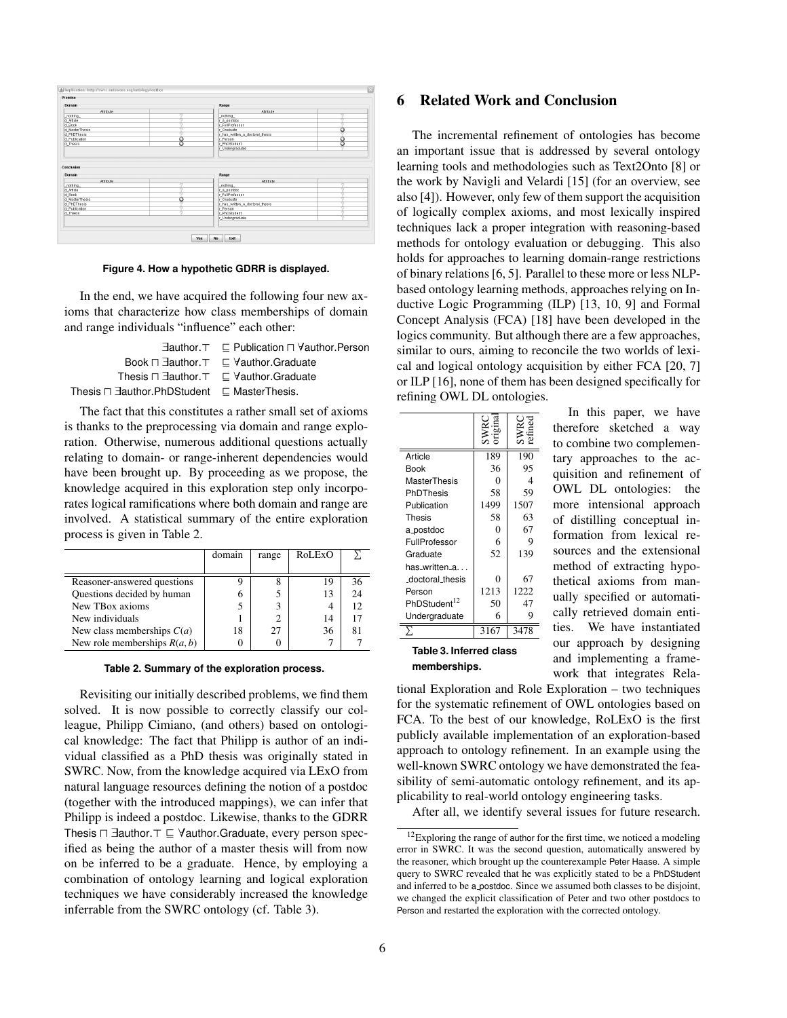| Premise                                                                                                              |   |                                 |   |  |  |
|----------------------------------------------------------------------------------------------------------------------|---|---------------------------------|---|--|--|
| Domain                                                                                                               |   | Range                           |   |  |  |
| Attribute                                                                                                            |   | Athibute                        |   |  |  |
| _nothing                                                                                                             |   | nothing                         |   |  |  |
| d Artitle                                                                                                            |   | r_a_postdoc                     |   |  |  |
| d Book                                                                                                               |   | r FullProfessor                 |   |  |  |
| d MasterThesis                                                                                                       |   | r Graduate                      | Ω |  |  |
| d PhDThesis                                                                                                          |   | r_has_written_a_doctoral_thesis |   |  |  |
| d_Publication                                                                                                        |   | r_Person                        |   |  |  |
| d Thesis                                                                                                             |   | r PhDStudent                    |   |  |  |
|                                                                                                                      |   |                                 |   |  |  |
|                                                                                                                      |   | r Undergraduate<br>Range        |   |  |  |
|                                                                                                                      |   |                                 |   |  |  |
| Attribute                                                                                                            |   | Attribute<br>nothing            |   |  |  |
|                                                                                                                      |   |                                 |   |  |  |
|                                                                                                                      |   | r_a_postdoc                     |   |  |  |
|                                                                                                                      |   | r FullProfessor<br>r Graduate   |   |  |  |
|                                                                                                                      | o |                                 |   |  |  |
|                                                                                                                      |   | r_has_written_a_doctoral_thesis |   |  |  |
|                                                                                                                      |   | r Person<br>r PhDStudent        |   |  |  |
|                                                                                                                      |   |                                 |   |  |  |
|                                                                                                                      |   | r_Undergraduate                 |   |  |  |
| Conclusion<br>Domain<br>nothing<br>d_Artitle<br>d_Book<br>d MasterThesis<br>d PhDThesis<br>d Publication<br>d_Thesis |   |                                 |   |  |  |

**Figure 4. How a hypothetic GDRR is displayed.**

In the end, we have acquired the following four new axioms that characterize how class memberships of domain and range individuals "influence" each other:

|                                                          | $\exists$ author. $\top$ $\square$ Publication $\square$ Vauthor. Person |
|----------------------------------------------------------|--------------------------------------------------------------------------|
|                                                          | Book $\Box$ 3 author. $\top$ $\sqsubseteq$ $\forall$ author. Graduate    |
|                                                          | Thesis $\Box$ 3 author. $\top$ $\square$ V author. Graduate              |
| Thesis $\Box$ 3 author. PhDStudent $\Box$ Master Thesis. |                                                                          |
|                                                          |                                                                          |

The fact that this constitutes a rather small set of axioms is thanks to the preprocessing via domain and range exploration. Otherwise, numerous additional questions actually relating to domain- or range-inherent dependencies would have been brought up. By proceeding as we propose, the knowledge acquired in this exploration step only incorporates logical ramifications where both domain and range are involved. A statistical summary of the entire exploration process is given in Table 2.

| domain | range | RoLExO |    |
|--------|-------|--------|----|
|        |       |        |    |
|        |       |        | 36 |
|        |       | 13     | 24 |
|        |       |        | 12 |
|        |       | 14     | 17 |
| 18     | 27    | 36     | 81 |
|        |       |        |    |
|        |       |        |    |

**Table 2. Summary of the exploration process.**

Revisiting our initially described problems, we find them solved. It is now possible to correctly classify our colleague, Philipp Cimiano, (and others) based on ontological knowledge: The fact that Philipp is author of an individual classified as a PhD thesis was originally stated in SWRC. Now, from the knowledge acquired via LExO from natural language resources defining the notion of a postdoc (together with the introduced mappings), we can infer that Philipp is indeed a postdoc. Likewise, thanks to the GDRR Thesis  $\Box$  ∃author. $\top \sqsubseteq \forall$  author.Graduate, every person specified as being the author of a master thesis will from now on be inferred to be a graduate. Hence, by employing a combination of ontology learning and logical exploration techniques we have considerably increased the knowledge inferrable from the SWRC ontology (cf. Table 3).

# 6 Related Work and Conclusion

The incremental refinement of ontologies has become an important issue that is addressed by several ontology learning tools and methodologies such as Text2Onto [8] or the work by Navigli and Velardi [15] (for an overview, see also [4]). However, only few of them support the acquisition of logically complex axioms, and most lexically inspired techniques lack a proper integration with reasoning-based methods for ontology evaluation or debugging. This also holds for approaches to learning domain-range restrictions of binary relations [6, 5]. Parallel to these more or less NLPbased ontology learning methods, approaches relying on Inductive Logic Programming (ILP) [13, 10, 9] and Formal Concept Analysis (FCA) [18] have been developed in the logics community. But although there are a few approaches, similar to ours, aiming to reconcile the two worlds of lexical and logical ontology acquisition by either FCA [20, 7] or ILP [16], none of them has been designed specifically for refining OWL DL ontologies.

| Article                  | 189      | 190  |
|--------------------------|----------|------|
| Book                     | 36       | 95   |
| MasterThesis             | $\Omega$ | 4    |
| PhDThesis                | 58       | 59   |
| Publication              | 1499     | 1507 |
| Thesis                   | 58       | 63   |
| a_postdoc                | $\Omega$ | 67   |
| FullProfessor            | 6        | 9    |
| Graduate                 | 52       | 139  |
| has written a            |          |      |
| _doctoral_thesis         | 0        | 67   |
| Person                   | 1213     | 1222 |
| PhDStudent <sup>12</sup> | 50       | 47   |
| Undergraduate            | 6        | 9    |
|                          | 3167     | 3478 |

**Table 3. Inferred class memberships.**

In this paper, we have therefore sketched a way to combine two complementary approaches to the acquisition and refinement of OWL DL ontologies: the more intensional approach of distilling conceptual information from lexical resources and the extensional method of extracting hypothetical axioms from manually specified or automatically retrieved domain entities. We have instantiated our approach by designing and implementing a framework that integrates Rela-

tional Exploration and Role Exploration – two techniques for the systematic refinement of OWL ontologies based on FCA. To the best of our knowledge, RoLExO is the first publicly available implementation of an exploration-based approach to ontology refinement. In an example using the well-known SWRC ontology we have demonstrated the feasibility of semi-automatic ontology refinement, and its applicability to real-world ontology engineering tasks.

After all, we identify several issues for future research.

 $12$ Exploring the range of author for the first time, we noticed a modeling error in SWRC. It was the second question, automatically answered by the reasoner, which brought up the counterexample Peter Haase. A simple query to SWRC revealed that he was explicitly stated to be a PhDStudent and inferred to be a postdoc. Since we assumed both classes to be disjoint, we changed the explicit classification of Peter and two other postdocs to Person and restarted the exploration with the corrected ontology.